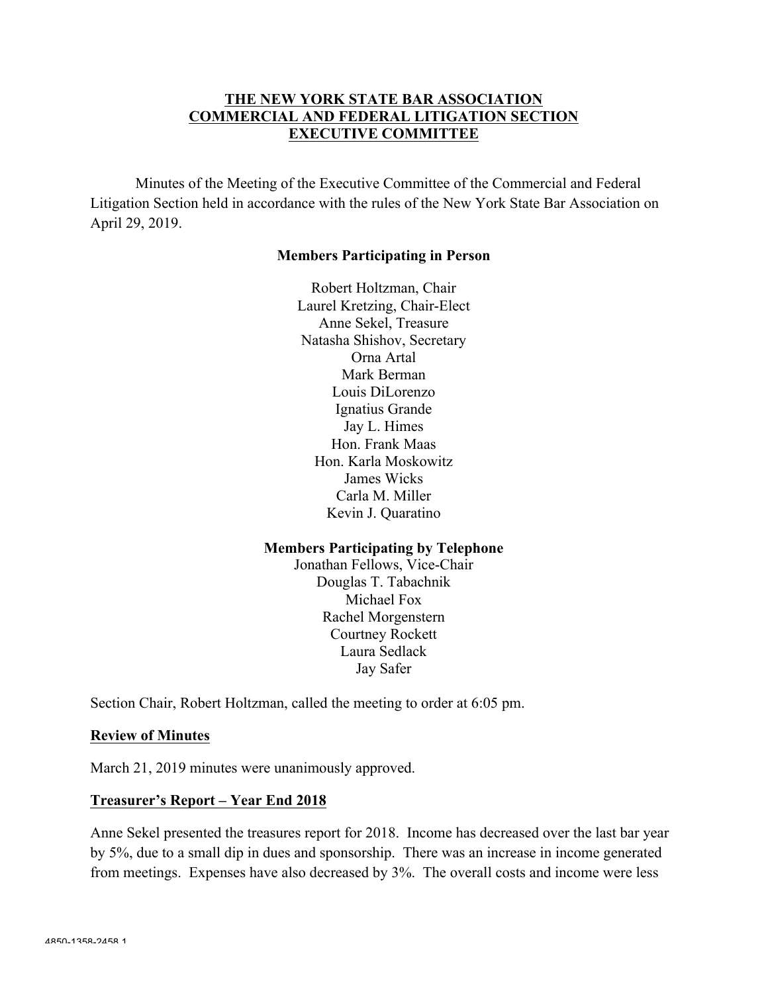## **THE NEW YORK STATE BAR ASSOCIATION COMMERCIAL AND FEDERAL LITIGATION SECTION EXECUTIVE COMMITTEE**

Minutes of the Meeting of the Executive Committee of the Commercial and Federal Litigation Section held in accordance with the rules of the New York State Bar Association on April 29, 2019.

#### **Members Participating in Person**

Robert Holtzman, Chair Laurel Kretzing, Chair-Elect Anne Sekel, Treasure Natasha Shishov, Secretary Orna Artal Mark Berman Louis DiLorenzo Ignatius Grande Jay L. Himes Hon. Frank Maas Hon. Karla Moskowitz James Wicks Carla M. Miller Kevin J. Quaratino

#### **Members Participating by Telephone**

Jonathan Fellows, Vice-Chair Douglas T. Tabachnik Michael Fox Rachel Morgenstern Courtney Rockett Laura Sedlack Jay Safer

Section Chair, Robert Holtzman, called the meeting to order at 6:05 pm.

#### **Review of Minutes**

March 21, 2019 minutes were unanimously approved.

#### **Treasurer's Report – Year End 2018**

Anne Sekel presented the treasures report for 2018. Income has decreased over the last bar year by 5%, due to a small dip in dues and sponsorship. There was an increase in income generated from meetings. Expenses have also decreased by 3%. The overall costs and income were less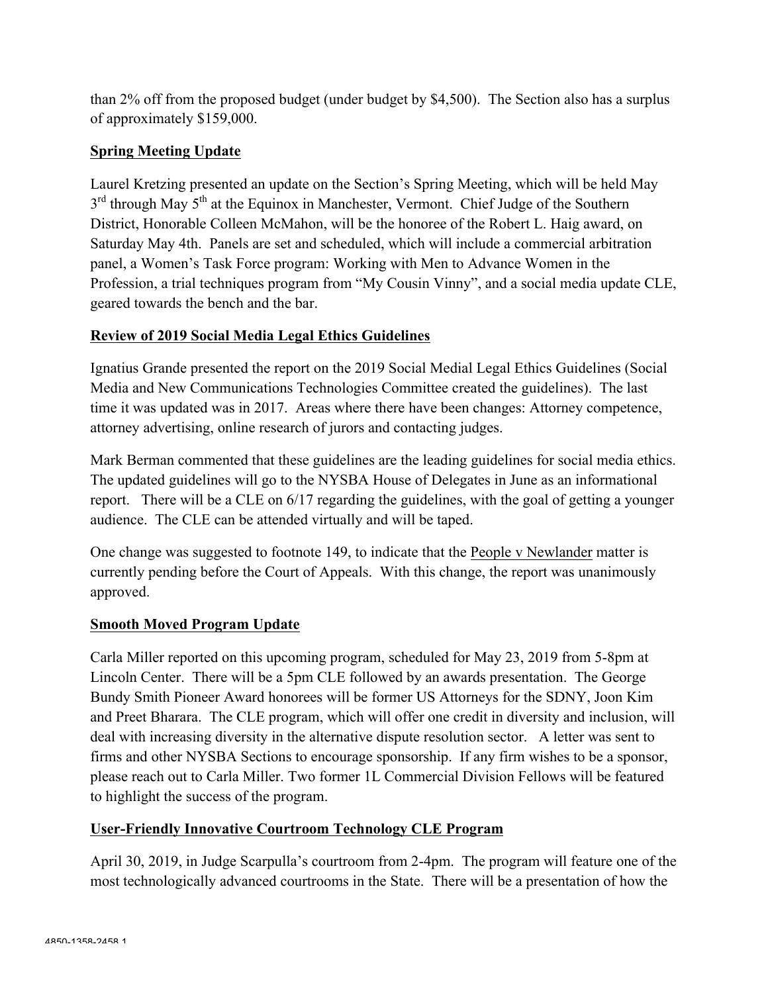than 2% off from the proposed budget (under budget by \$4,500). The Section also has a surplus of approximately \$159,000.

# **Spring Meeting Update**

Laurel Kretzing presented an update on the Section's Spring Meeting, which will be held May  $3<sup>rd</sup>$  through May  $5<sup>th</sup>$  at the Equinox in Manchester, Vermont. Chief Judge of the Southern District, Honorable Colleen McMahon, will be the honoree of the Robert L. Haig award, on Saturday May 4th. Panels are set and scheduled, which will include a commercial arbitration panel, a Women's Task Force program: Working with Men to Advance Women in the Profession, a trial techniques program from "My Cousin Vinny", and a social media update CLE, geared towards the bench and the bar.

## **Review of 2019 Social Media Legal Ethics Guidelines**

Ignatius Grande presented the report on the 2019 Social Medial Legal Ethics Guidelines (Social Media and New Communications Technologies Committee created the guidelines). The last time it was updated was in 2017. Areas where there have been changes: Attorney competence, attorney advertising, online research of jurors and contacting judges.

Mark Berman commented that these guidelines are the leading guidelines for social media ethics. The updated guidelines will go to the NYSBA House of Delegates in June as an informational report. There will be a CLE on 6/17 regarding the guidelines, with the goal of getting a younger audience. The CLE can be attended virtually and will be taped.

One change was suggested to footnote 149, to indicate that the People v Newlander matter is currently pending before the Court of Appeals. With this change, the report was unanimously approved.

## **Smooth Moved Program Update**

Carla Miller reported on this upcoming program, scheduled for May 23, 2019 from 5-8pm at Lincoln Center. There will be a 5pm CLE followed by an awards presentation. The George Bundy Smith Pioneer Award honorees will be former US Attorneys for the SDNY, Joon Kim and Preet Bharara. The CLE program, which will offer one credit in diversity and inclusion, will deal with increasing diversity in the alternative dispute resolution sector. A letter was sent to firms and other NYSBA Sections to encourage sponsorship. If any firm wishes to be a sponsor, please reach out to Carla Miller. Two former 1L Commercial Division Fellows will be featured to highlight the success of the program.

## **User-Friendly Innovative Courtroom Technology CLE Program**

April 30, 2019, in Judge Scarpulla's courtroom from 2-4pm. The program will feature one of the most technologically advanced courtrooms in the State. There will be a presentation of how the